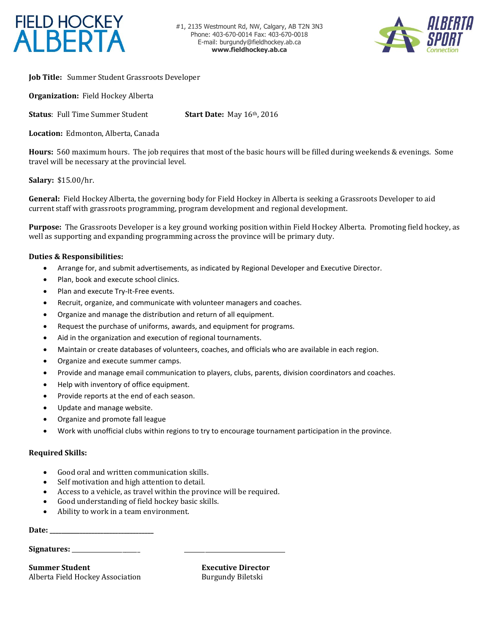

#1, 2135 Westmount Rd, NW, Calgary, AB T2N 3N3 Phone: 403-670-0014 Fax: 403-670-0018 E-mail: burgund[y@fieldhockey.ab.ca](mailto:eneral.manager@fieldhockey.ab.ca) **[www.fieldhockey.ab.ca](http://www.fieldhockey.ab.ca/)**



**Job Title:** Summer Student Grassroots Developer

**Organization:** Field Hockey Alberta

**Status**: Full Time Summer Student **Start Date:** May 16th, 2016

**Location:** Edmonton, Alberta, Canada

**Hours:** 560 maximum hours. The job requires that most of the basic hours will be filled during weekends & evenings. Some travel will be necessary at the provincial level.

**Salary:** \$15.00/hr.

**General:** Field Hockey Alberta, the governing body for Field Hockey in Alberta is seeking a Grassroots Developer to aid current staff with grassroots programming, program development and regional development.

**Purpose:** The Grassroots Developer is a key ground working position within Field Hockey Alberta. Promoting field hockey, as well as supporting and expanding programming across the province will be primary duty.

## **Duties & Responsibilities:**

- Arrange for, and submit advertisements, as indicated by Regional Developer and Executive Director.
- Plan, book and execute school clinics.
- Plan and execute Try-It-Free events.
- Recruit, organize, and communicate with volunteer managers and coaches.
- Organize and manage the distribution and return of all equipment.
- Request the purchase of uniforms, awards, and equipment for programs.
- Aid in the organization and execution of regional tournaments.
- Maintain or create databases of volunteers, coaches, and officials who are available in each region.
- Organize and execute summer camps.
- Provide and manage email communication to players, clubs, parents, division coordinators and coaches.
- Help with inventory of office equipment.
- Provide reports at the end of each season.
- Update and manage website.
- Organize and promote fall league
- Work with unofficial clubs within regions to try to encourage tournament participation in the province.

## **Required Skills:**

- Good oral and written communication skills.
- Self motivation and high attention to detail.
- Access to a vehicle, as travel within the province will be required.
- Good understanding of field hockey basic skills.
- Ability to work in a team environment.

**Date: \_\_\_\_\_\_\_\_\_\_\_\_\_\_\_\_\_\_\_\_\_\_\_\_\_\_\_\_\_\_\_\_\_\_\_**

## Signatures:

**Summer Student Executive Director** Alberta Field Hockey Association Burgundy Biletski